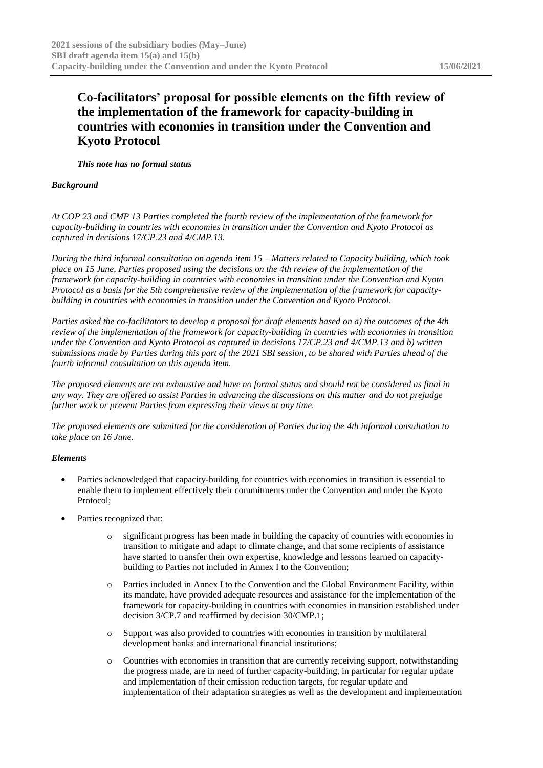## **Co-facilitators' proposal for possible elements on the fifth review of the implementation of the framework for capacity-building in countries with economies in transition under the Convention and Kyoto Protocol**

*This note has no formal status*

## *Background*

*At COP 23 and CMP 13 Parties completed the fourth review of the implementation of the framework for capacity-building in countries with economies in transition under the Convention and Kyoto Protocol as captured in decisions 17/CP.23 and 4/CMP.13.*

*During the third informal consultation on agenda item 15 – Matters related to Capacity building, which took place on 15 June, Parties proposed using the decisions on the 4th review of the implementation of the framework for capacity-building in countries with economies in transition under the Convention and Kyoto Protocol as a basis for the 5th comprehensive review of the implementation of the framework for capacitybuilding in countries with economies in transition under the Convention and Kyoto Protocol.*

*Parties asked the co-facilitators to develop a proposal for draft elements based on a) the outcomes of the 4th review of the implementation of the framework for capacity-building in countries with economies in transition under the Convention and Kyoto Protocol as captured in decisions 17/CP.23 and 4/CMP.13 and b) written submissions made by Parties during this part of the 2021 SBI session, to be shared with Parties ahead of the fourth informal consultation on this agenda item.*

*The proposed elements are not exhaustive and have no formal status and should not be considered as final in any way. They are offered to assist Parties in advancing the discussions on this matter and do not prejudge further work or prevent Parties from expressing their views at any time.*

*The proposed elements are submitted for the consideration of Parties during the 4th informal consultation to take place on 16 June.*

## *Elements*

- Parties acknowledged that capacity-building for countries with economies in transition is essential to enable them to implement effectively their commitments under the Convention and under the Kyoto Protocol;
- Parties recognized that:
	- significant progress has been made in building the capacity of countries with economies in transition to mitigate and adapt to climate change, and that some recipients of assistance have started to transfer their own expertise, knowledge and lessons learned on capacitybuilding to Parties not included in Annex I to the Convention;
	- o Parties included in Annex I to the Convention and the Global Environment Facility, within its mandate, have provided adequate resources and assistance for the implementation of the framework for capacity-building in countries with economies in transition established under decision 3/CP.7 and reaffirmed by decision 30/CMP.1;
	- o Support was also provided to countries with economies in transition by multilateral development banks and international financial institutions;
	- o Countries with economies in transition that are currently receiving support, notwithstanding the progress made, are in need of further capacity-building, in particular for regular update and implementation of their emission reduction targets, for regular update and implementation of their adaptation strategies as well as the development and implementation